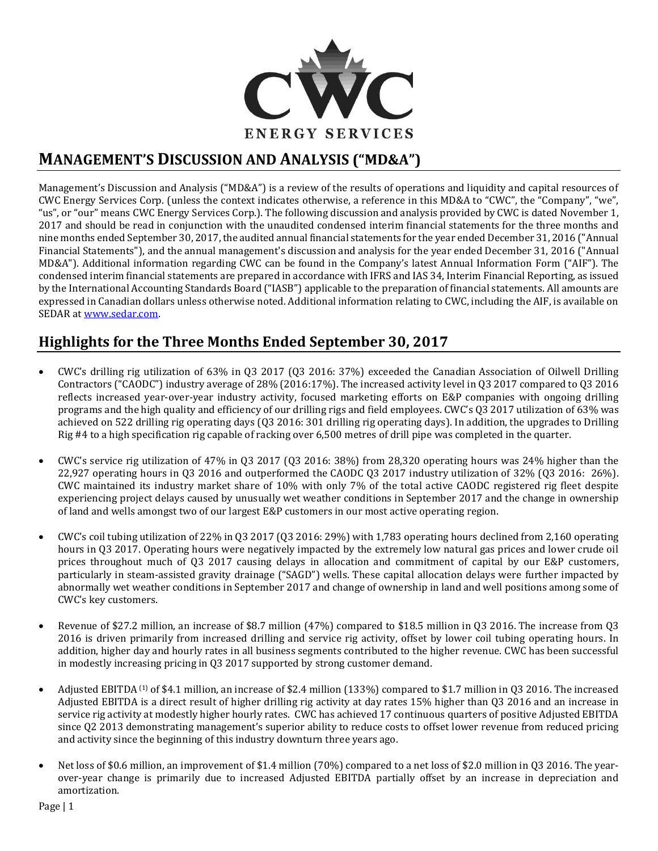

# **MANAGEMENT'S DISCUSSION AND ANALYSIS ("MD&A")**

Management's Discussion and Analysis ("MD&A") is a review of the results of operations and liquidity and capital resources of CWC Energy Services Corp. (unless the context indicates otherwise, a reference in this MD&A to "CWC", the "Company", "we", "us", or "our" means CWC Energy Services Corp.). The following discussion and analysis provided by CWC is dated November 1, 2017 and should be read in conjunction with the unaudited condensed interim financial statements for the three months and nine months ended September 30, 2017, the audited annual financial statements for the year ended December 31, 2016 ("Annual Financial Statements"), and the annual management's discussion and analysis for the year ended December 31, 2016 ("Annual MD&A"). Additional information regarding CWC can be found in the Company's latest Annual Information Form ("AIF"). The condensed interim financial statements are prepared in accordance with IFRS and IAS 34, Interim Financial Reporting, as issued by the International Accounting Standards Board ("IASB") applicable to the preparation of financial statements. All amounts are expressed in Canadian dollars unless otherwise noted. Additional information relating to CWC, including the AIF, is available on SEDAR a[t www.sedar.com.](http://www.sedar.com/)

# **Highlights for the Three Months Ended September 30, 2017**

- CWC's drilling rig utilization of 63% in Q3 2017 (Q3 2016: 37%) exceeded the Canadian Association of Oilwell Drilling Contractors ("CAODC") industry average of 28% (2016:17%). The increased activity level in Q3 2017 compared to Q3 2016 reflects increased year-over-year industry activity, focused marketing efforts on E&P companies with ongoing drilling programs and the high quality and efficiency of our drilling rigs and field employees. CWC's Q3 2017 utilization of 63% was achieved on 522 drilling rig operating days (Q3 2016: 301 drilling rig operating days). In addition, the upgrades to Drilling Rig #4 to a high specification rig capable of racking over 6,500 metres of drill pipe was completed in the quarter.
- CWC's service rig utilization of 47% in Q3 2017 (Q3 2016: 38%) from 28,320 operating hours was 24% higher than the 22,927 operating hours in Q3 2016 and outperformed the CAODC Q3 2017 industry utilization of 32% (Q3 2016: 26%). CWC maintained its industry market share of 10% with only 7% of the total active CAODC registered rig fleet despite experiencing project delays caused by unusually wet weather conditions in September 2017 and the change in ownership of land and wells amongst two of our largest E&P customers in our most active operating region.
- CWC's coil tubing utilization of 22% in Q3 2017 (Q3 2016: 29%) with 1,783 operating hours declined from 2,160 operating hours in Q3 2017. Operating hours were negatively impacted by the extremely low natural gas prices and lower crude oil prices throughout much of Q3 2017 causing delays in allocation and commitment of capital by our E&P customers, particularly in steam-assisted gravity drainage ("SAGD") wells. These capital allocation delays were further impacted by abnormally wet weather conditions in September 2017 and change of ownership in land and well positions among some of CWC's key customers.
- Revenue of \$27.2 million, an increase of \$8.7 million (47%) compared to \$18.5 million in Q3 2016. The increase from Q3 2016 is driven primarily from increased drilling and service rig activity, offset by lower coil tubing operating hours. In addition, higher day and hourly rates in all business segments contributed to the higher revenue. CWC has been successful in modestly increasing pricing in Q3 2017 supported by strong customer demand.
- Adjusted EBITDA<sup>(1)</sup> of \$4.1 million, an increase of \$2.4 million (133%) compared to \$1.7 million in Q3 2016. The increased Adjusted EBITDA is a direct result of higher drilling rig activity at day rates 15% higher than Q3 2016 and an increase in service rig activity at modestly higher hourly rates. CWC has achieved 17 continuous quarters of positive Adjusted EBITDA since Q2 2013 demonstrating management's superior ability to reduce costs to offset lower revenue from reduced pricing and activity since the beginning of this industry downturn three years ago.
- Net loss of \$0.6 million, an improvement of \$1.4 million (70%) compared to a net loss of \$2.0 million in Q3 2016. The yearover-year change is primarily due to increased Adjusted EBITDA partially offset by an increase in depreciation and amortization.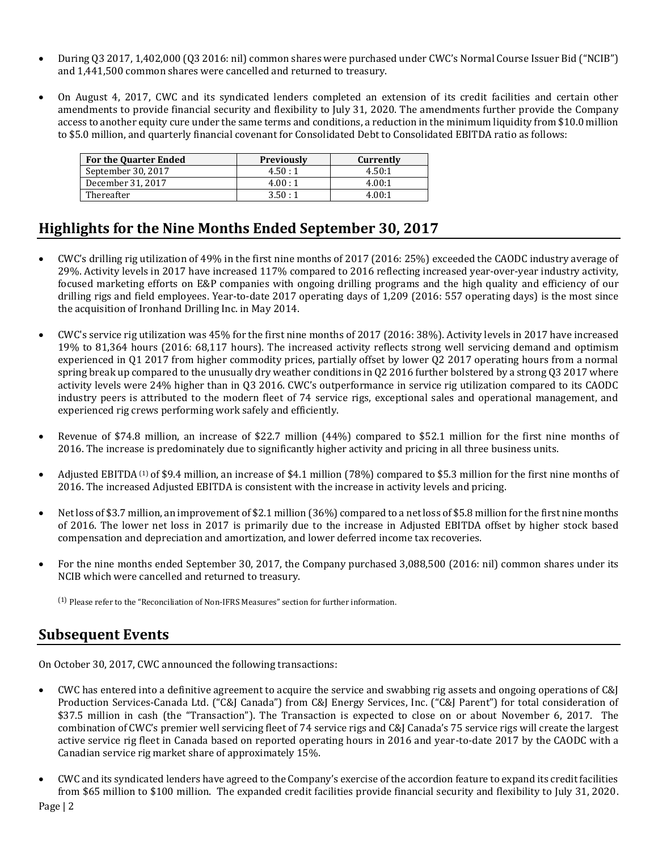- During Q3 2017, 1,402,000 (Q3 2016: nil) common shares were purchased under CWC's Normal Course Issuer Bid ("NCIB") and 1,441,500 common shares were cancelled and returned to treasury.
- On August 4, 2017, CWC and its syndicated lenders completed an extension of its credit facilities and certain other amendments to provide financial security and flexibility to July 31, 2020. The amendments further provide the Company access to another equity cure under the same terms and conditions, a reduction in the minimum liquidity from \$10.0 million to \$5.0 million, and quarterly financial covenant for Consolidated Debt to Consolidated EBITDA ratio as follows:

| <b>For the Quarter Ended</b> | <b>Previously</b> | Currently |
|------------------------------|-------------------|-----------|
| September 30, 2017           | 4.50:1            | 4.50:1    |
| December 31, 2017            | 4.00:1            | 4.00:1    |
| Thereafter                   | 3.50:1            | 4.00:1    |

# **Highlights for the Nine Months Ended September 30, 2017**

- CWC's drilling rig utilization of 49% in the first nine months of 2017 (2016: 25%) exceeded the CAODC industry average of 29%. Activity levels in 2017 have increased 117% compared to 2016 reflecting increased year-over-year industry activity, focused marketing efforts on E&P companies with ongoing drilling programs and the high quality and efficiency of our drilling rigs and field employees. Year-to-date 2017 operating days of 1,209 (2016: 557 operating days) is the most since the acquisition of Ironhand Drilling Inc. in May 2014.
- CWC's service rig utilization was 45% for the first nine months of 2017 (2016: 38%). Activity levels in 2017 have increased 19% to 81,364 hours (2016: 68,117 hours). The increased activity reflects strong well servicing demand and optimism experienced in Q1 2017 from higher commodity prices, partially offset by lower Q2 2017 operating hours from a normal spring break up compared to the unusually dry weather conditions in Q2 2016 further bolstered by a strong Q3 2017 where activity levels were 24% higher than in Q3 2016. CWC's outperformance in service rig utilization compared to its CAODC industry peers is attributed to the modern fleet of 74 service rigs, exceptional sales and operational management, and experienced rig crews performing work safely and efficiently.
- Revenue of \$74.8 million, an increase of \$22.7 million (44%) compared to \$52.1 million for the first nine months of 2016. The increase is predominately due to significantly higher activity and pricing in all three business units.
- Adjusted EBITDA<sup>(1)</sup> of \$9.4 million, an increase of \$4.1 million (78%) compared to \$5.3 million for the first nine months of 2016. The increased Adjusted EBITDA is consistent with the increase in activity levels and pricing.
- Net loss of \$3.7 million, an improvement of \$2.1 million (36%) compared to a net loss of \$5.8 million for the first nine months of 2016. The lower net loss in 2017 is primarily due to the increase in Adjusted EBITDA offset by higher stock based compensation and depreciation and amortization, and lower deferred income tax recoveries.
- For the nine months ended September 30, 2017, the Company purchased 3,088,500 (2016: nil) common shares under its NCIB which were cancelled and returned to treasury.

(1) Please refer to the "Reconciliation of Non-IFRS Measures" section for further information.

## **Subsequent Events**

On October 30, 2017, CWC announced the following transactions:

- CWC has entered into a definitive agreement to acquire the service and swabbing rig assets and ongoing operations of C&J Production Services-Canada Ltd. ("C&J Canada") from C&J Energy Services, Inc. ("C&J Parent") for total consideration of \$37.5 million in cash (the "Transaction"). The Transaction is expected to close on or about November 6, 2017. The combination of CWC's premier well servicing fleet of 74 service rigs and C&J Canada's 75 service rigs will create the largest active service rig fleet in Canada based on reported operating hours in 2016 and year-to-date 2017 by the CAODC with a Canadian service rig market share of approximately 15%.
- CWC and its syndicated lenders have agreed to the Company's exercise of the accordion feature to expand its credit facilities from \$65 million to \$100 million. The expanded credit facilities provide financial security and flexibility to July 31, 2020.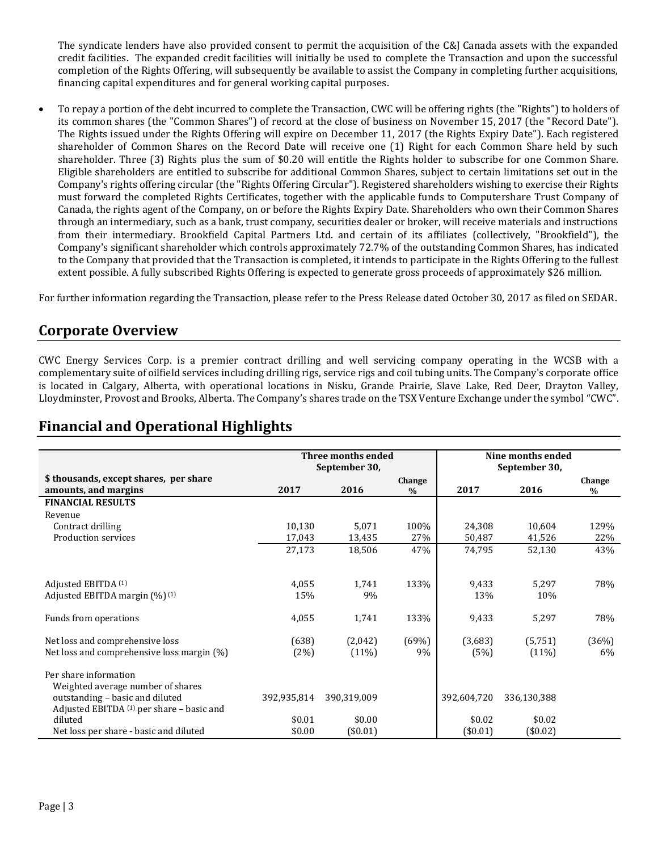The syndicate lenders have also provided consent to permit the acquisition of the C&J Canada assets with the expanded credit facilities. The expanded credit facilities will initially be used to complete the Transaction and upon the successful completion of the Rights Offering, will subsequently be available to assist the Company in completing further acquisitions, financing capital expenditures and for general working capital purposes.

 To repay a portion of the debt incurred to complete the Transaction, CWC will be offering rights (the "Rights") to holders of its common shares (the "Common Shares") of record at the close of business on November 15, 2017 (the "Record Date"). The Rights issued under the Rights Offering will expire on December 11, 2017 (the Rights Expiry Date"). Each registered shareholder of Common Shares on the Record Date will receive one (1) Right for each Common Share held by such shareholder. Three (3) Rights plus the sum of \$0.20 will entitle the Rights holder to subscribe for one Common Share. Eligible shareholders are entitled to subscribe for additional Common Shares, subject to certain limitations set out in the Company's rights offering circular (the "Rights Offering Circular"). Registered shareholders wishing to exercise their Rights must forward the completed Rights Certificates, together with the applicable funds to Computershare Trust Company of Canada, the rights agent of the Company, on or before the Rights Expiry Date. Shareholders who own their Common Shares through an intermediary, such as a bank, trust company, securities dealer or broker, will receive materials and instructions from their intermediary. Brookfield Capital Partners Ltd. and certain of its affiliates (collectively, "Brookfield"), the Company's significant shareholder which controls approximately 72.7% of the outstanding Common Shares, has indicated to the Company that provided that the Transaction is completed, it intends to participate in the Rights Offering to the fullest extent possible. A fully subscribed Rights Offering is expected to generate gross proceeds of approximately \$26 million.

For further information regarding the Transaction, please refer to the Press Release dated October 30, 2017 as filed on SEDAR.

## **Corporate Overview**

CWC Energy Services Corp. is a premier contract drilling and well servicing company operating in the WCSB with a complementary suite of oilfield services including drilling rigs, service rigs and coil tubing units. The Company's corporate office is located in Calgary, Alberta, with operational locations in Nisku, Grande Prairie, Slave Lake, Red Deer, Drayton Valley, Lloydminster, Provost and Brooks, Alberta. The Company's shares trade on the TSX Venture Exchange under the symbol "CWC".

|                                                                      |             | Three months ended<br>September 30, |        |             | Nine months ended<br>September 30, |        |
|----------------------------------------------------------------------|-------------|-------------------------------------|--------|-------------|------------------------------------|--------|
| \$ thousands, except shares, per share                               |             |                                     | Change |             |                                    | Change |
| amounts, and margins                                                 | 2017        | 2016                                | $\%$   | 2017        | 2016                               | $\%$   |
| <b>FINANCIAL RESULTS</b>                                             |             |                                     |        |             |                                    |        |
| Revenue                                                              |             |                                     |        |             |                                    |        |
| Contract drilling                                                    | 10,130      | 5,071                               | 100%   | 24,308      | 10,604                             | 129%   |
| Production services                                                  | 17,043      | 13,435                              | 27%    | 50,487      | 41,526                             | 22%    |
|                                                                      | 27,173      | 18,506                              | 47%    | 74,795      | 52,130                             | 43%    |
|                                                                      |             |                                     |        |             |                                    |        |
| Adjusted EBITDA (1)                                                  | 4,055       | 1,741                               | 133%   | 9,433       | 5,297                              | 78%    |
| Adjusted EBITDA margin $(\%)^{(1)}$                                  | 15%         | 9%                                  |        | 13%         | 10%                                |        |
|                                                                      |             |                                     |        |             |                                    |        |
| Funds from operations                                                | 4,055       | 1,741                               | 133%   | 9,433       | 5,297                              | 78%    |
| Net loss and comprehensive loss                                      | (638)       | (2,042)                             | (69%)  | (3,683)     | (5,751)                            | (36%)  |
| Net loss and comprehensive loss margin (%)                           | (2%)        | $(11\%)$                            | 9%     | (5%)        | $(11\%)$                           | 6%     |
|                                                                      |             |                                     |        |             |                                    |        |
| Per share information                                                |             |                                     |        |             |                                    |        |
| Weighted average number of shares<br>outstanding - basic and diluted | 392,935,814 | 390,319,009                         |        | 392,604,720 | 336,130,388                        |        |
| Adjusted EBITDA $(1)$ per share – basic and                          |             |                                     |        |             |                                    |        |
| diluted                                                              | \$0.01      | \$0.00                              |        | \$0.02      | \$0.02                             |        |
| Net loss per share - basic and diluted                               | \$0.00      | $(\$0.01)$                          |        | $(\$0.01)$  | $(\$0.02)$                         |        |

## **Financial and Operational Highlights**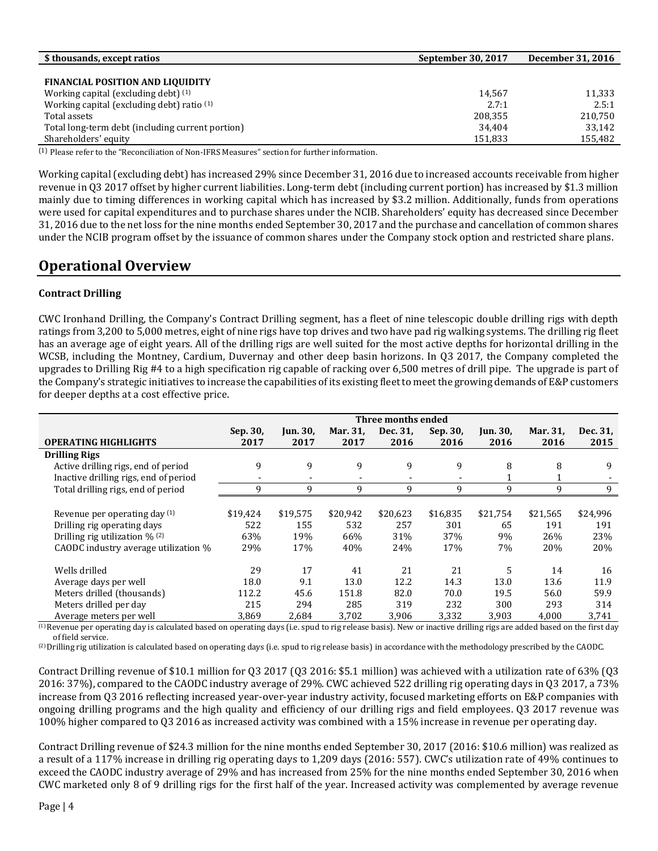| \$ thousands, except ratios                      | September 30, 2017 | December 31, 2016 |
|--------------------------------------------------|--------------------|-------------------|
|                                                  |                    |                   |
| <b>FINANCIAL POSITION AND LIQUIDITY</b>          |                    |                   |
| Working capital (excluding debt) (1)             | 14,567             | 11,333            |
| Working capital (excluding debt) ratio (1)       | 2.7:1              | 2.5:1             |
| Total assets                                     | 208,355            | 210,750           |
| Total long-term debt (including current portion) | 34,404             | 33,142            |
| Shareholders' equity                             | 151,833            | 155,482           |

 $\overline{(1)}$  Please refer to the "Reconciliation of Non-IFRS Measures" section for further information.

Working capital (excluding debt) has increased 29% since December 31, 2016 due to increased accounts receivable from higher revenue in Q3 2017 offset by higher current liabilities. Long-term debt (including current portion) has increased by \$1.3 million mainly due to timing differences in working capital which has increased by \$3.2 million. Additionally, funds from operations were used for capital expenditures and to purchase shares under the NCIB. Shareholders' equity has decreased since December 31, 2016 due to the net loss for the nine months ended September 30, 2017 and the purchase and cancellation of common shares under the NCIB program offset by the issuance of common shares under the Company stock option and restricted share plans.

# **Operational Overview**

### **Contract Drilling**

CWC Ironhand Drilling, the Company's Contract Drilling segment, has a fleet of nine telescopic double drilling rigs with depth ratings from 3,200 to 5,000 metres, eight of nine rigs have top drives and two have pad rig walking systems. The drilling rig fleet has an average age of eight years. All of the drilling rigs are well suited for the most active depths for horizontal drilling in the WCSB, including the Montney, Cardium, Duvernay and other deep basin horizons. In Q3 2017, the Company completed the upgrades to Drilling Rig #4 to a high specification rig capable of racking over 6,500 metres of drill pipe. The upgrade is part of the Company's strategic initiatives to increase the capabilities of its existing fleet to meet the growing demands of E&P customers for deeper depths at a cost effective price.

|                                             |                          |                 |                | Three months ended |                |                 |          |          |
|---------------------------------------------|--------------------------|-----------------|----------------|--------------------|----------------|-----------------|----------|----------|
|                                             | Sep. 30,                 | <b>Jun. 30,</b> | Mar. 31,       | Dec. 31,           | Sep. 30,       | <b>Jun. 30,</b> | Mar. 31, | Dec. 31, |
| <b>OPERATING HIGHLIGHTS</b>                 | 2017                     | 2017            | 2017           | 2016               | 2016           | 2016            | 2016     | 2015     |
| <b>Drilling Rigs</b>                        |                          |                 |                |                    |                |                 |          |          |
| Active drilling rigs, end of period         | 9                        | 9               | 9              | 9                  | 9              | 8               | 8        | 9        |
| Inactive drilling rigs, end of period       | $\overline{\phantom{a}}$ |                 | $\blacksquare$ |                    | $\blacksquare$ |                 |          |          |
| Total drilling rigs, end of period          | 9                        | 9               | 9              | 9                  | 9              | 9               | 9        | 9        |
|                                             |                          |                 |                |                    |                |                 |          |          |
| Revenue per operating day (1)               | \$19,424                 | \$19,575        | \$20,942       | \$20,623           | \$16,835       | \$21,754        | \$21,565 | \$24,996 |
| Drilling rig operating days                 | 522                      | 155             | 532            | 257                | 301            | 65              | 191      | 191      |
| Drilling rig utilization $\frac{9}{12}$ (2) | 63%                      | 19%             | 66%            | 31%                | 37%            | 9%              | 26%      | 23%      |
| CAODC industry average utilization %        | 29%                      | 17%             | 40%            | 24%                | 17%            | 7%              | 20%      | 20%      |
| Wells drilled                               | 29                       | 17              | 41             | 21                 | 21             | 5               | 14       | 16       |
| Average days per well                       | 18.0                     | 9.1             | 13.0           | 12.2               | 14.3           | 13.0            | 13.6     | 11.9     |
| Meters drilled (thousands)                  | 112.2                    | 45.6            | 151.8          | 82.0               | 70.0           | 19.5            | 56.0     | 59.9     |
|                                             |                          |                 |                |                    |                |                 |          |          |
| Meters drilled per day                      | 215                      | 294             | 285            | 319                | 232            | 300             | 293      | 314      |
| Average meters per well                     | 3,869                    | 2,684           | 3,702          | 3,906              | 3,332          | 3,903           | 4,000    | 3,741    |

(1) Revenue per operating day is calculated based on operating days (i.e. spud to rig release basis). New or inactive drilling rigs are added based on the first day of field service.

(2)Drilling rig utilization is calculated based on operating days (i.e. spud to rig release basis) in accordance with the methodology prescribed by the CAODC.

Contract Drilling revenue of \$10.1 million for Q3 2017 (Q3 2016: \$5.1 million) was achieved with a utilization rate of 63% (Q3 2016: 37%), compared to the CAODC industry average of 29%. CWC achieved 522 drilling rig operating days in Q3 2017, a 73% increase from Q3 2016 reflecting increased year-over-year industry activity, focused marketing efforts on E&P companies with ongoing drilling programs and the high quality and efficiency of our drilling rigs and field employees. Q3 2017 revenue was 100% higher compared to Q3 2016 as increased activity was combined with a 15% increase in revenue per operating day.

Contract Drilling revenue of \$24.3 million for the nine months ended September 30, 2017 (2016: \$10.6 million) was realized as a result of a 117% increase in drilling rig operating days to 1,209 days (2016: 557). CWC's utilization rate of 49% continues to exceed the CAODC industry average of 29% and has increased from 25% for the nine months ended September 30, 2016 when CWC marketed only 8 of 9 drilling rigs for the first half of the year. Increased activity was complemented by average revenue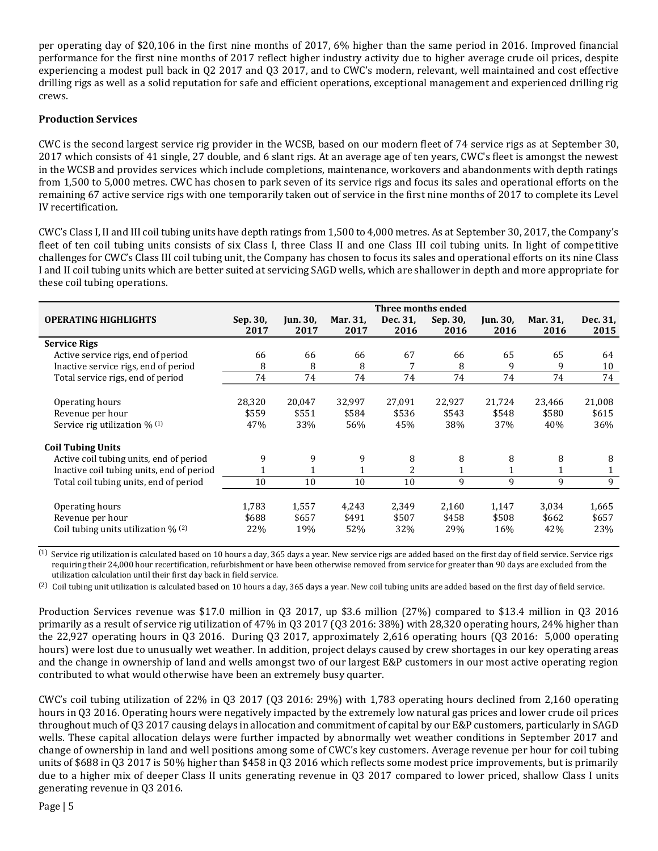per operating day of \$20,106 in the first nine months of 2017, 6% higher than the same period in 2016. Improved financial performance for the first nine months of 2017 reflect higher industry activity due to higher average crude oil prices, despite experiencing a modest pull back in Q2 2017 and Q3 2017, and to CWC's modern, relevant, well maintained and cost effective drilling rigs as well as a solid reputation for safe and efficient operations, exceptional management and experienced drilling rig crews.

### **Production Services**

CWC is the second largest service rig provider in the WCSB, based on our modern fleet of 74 service rigs as at September 30, 2017 which consists of 41 single, 27 double, and 6 slant rigs. At an average age of ten years, CWC's fleet is amongst the newest in the WCSB and provides services which include completions, maintenance, workovers and abandonments with depth ratings from 1,500 to 5,000 metres. CWC has chosen to park seven of its service rigs and focus its sales and operational efforts on the remaining 67 active service rigs with one temporarily taken out of service in the first nine months of 2017 to complete its Level IV recertification.

CWC's Class I, II and III coil tubing units have depth ratings from 1,500 to 4,000 metres. As at September 30, 2017, the Company's fleet of ten coil tubing units consists of six Class I, three Class II and one Class III coil tubing units. In light of competitive challenges for CWC's Class III coil tubing unit, the Company has chosen to focus its sales and operational efforts on its nine Class I and II coil tubing units which are better suited at servicing SAGD wells, which are shallower in depth and more appropriate for these coil tubing operations.

|                                             |                  |                         |                  | Three months ended |                  |                  |                  |                  |
|---------------------------------------------|------------------|-------------------------|------------------|--------------------|------------------|------------------|------------------|------------------|
| <b>OPERATING HIGHLIGHTS</b>                 | Sep. 30,<br>2017 | <b>Jun. 30,</b><br>2017 | Mar. 31,<br>2017 | Dec. 31,<br>2016   | Sep. 30,<br>2016 | Jun. 30,<br>2016 | Mar. 31,<br>2016 | Dec. 31,<br>2015 |
| <b>Service Rigs</b>                         |                  |                         |                  |                    |                  |                  |                  |                  |
| Active service rigs, end of period          | 66               | 66                      | 66               | 67                 | 66               | 65               | 65               | 64               |
| Inactive service rigs, end of period        | 8                | 8                       | 8                |                    | 8                | 9                | 9                | 10               |
| Total service rigs, end of period           | 74               | 74                      | 74               | 74                 | 74               | 74               | 74               | 74               |
|                                             |                  |                         |                  |                    |                  |                  |                  |                  |
| Operating hours                             | 28,320           | 20,047                  | 32,997           | 27,091             | 22,927           | 21,724           | 23,466           | 21,008           |
| Revenue per hour                            | \$559            | \$551                   | \$584            | \$536              | \$543            | \$548            | \$580            | \$615            |
| Service rig utilization $\%$ <sup>(1)</sup> | 47%              | 33%                     | 56%              | 45%                | 38%              | 37%              | 40%              | 36%              |
| <b>Coil Tubing Units</b>                    |                  |                         |                  |                    |                  |                  |                  |                  |
| Active coil tubing units, end of period     | 9                | 9                       | 9                | 8                  | 8                | 8                | 8                | 8                |
| Inactive coil tubing units, end of period   |                  |                         |                  | 2                  | 1                |                  |                  |                  |
| Total coil tubing units, end of period      | 10               | 10                      | 10               | 10                 | 9                | 9                | 9                | 9                |
|                                             |                  |                         |                  |                    |                  |                  |                  |                  |
| Operating hours                             | 1,783            | 1,557                   | 4,243            | 2,349              | 2,160            | 1,147            | 3,034            | 1,665            |
| Revenue per hour                            | \$688            | \$657                   | \$491            | \$507              | \$458            | \$508            | \$662            | \$657            |
| Coil tubing units utilization $\%$ (2)      | 22%              | 19%                     | 52%              | 32%                | 29%              | 16%              | 42%              | 23%              |

 $<sup>(1)</sup>$  Service rig utilization is calculated based on 10 hours a day, 365 days a year. New service rigs are added based on the first day of field service. Service rigs</sup> requiring their 24,000 hour recertification, refurbishment or have been otherwise removed from service for greater than 90 days are excluded from the utilization calculation until their first day back in field service.

 $^{(2)}$  Coil tubing unit utilization is calculated based on 10 hours a day, 365 days a year. New coil tubing units are added based on the first day of field service.

Production Services revenue was \$17.0 million in Q3 2017, up \$3.6 million (27%) compared to \$13.4 million in Q3 2016 primarily as a result of service rig utilization of 47% in Q3 2017 (Q3 2016: 38%) with 28,320 operating hours, 24% higher than the 22,927 operating hours in Q3 2016. During Q3 2017, approximately 2,616 operating hours (Q3 2016: 5,000 operating hours) were lost due to unusually wet weather. In addition, project delays caused by crew shortages in our key operating areas and the change in ownership of land and wells amongst two of our largest E&P customers in our most active operating region contributed to what would otherwise have been an extremely busy quarter.

CWC's coil tubing utilization of 22% in Q3 2017 (Q3 2016: 29%) with 1,783 operating hours declined from 2,160 operating hours in Q3 2016. Operating hours were negatively impacted by the extremely low natural gas prices and lower crude oil prices throughout much of Q3 2017 causing delays in allocation and commitment of capital by our E&P customers, particularly in SAGD wells. These capital allocation delays were further impacted by abnormally wet weather conditions in September 2017 and change of ownership in land and well positions among some of CWC's key customers. Average revenue per hour for coil tubing units of \$688 in Q3 2017 is 50% higher than \$458 in Q3 2016 which reflects some modest price improvements, but is primarily due to a higher mix of deeper Class II units generating revenue in Q3 2017 compared to lower priced, shallow Class I units generating revenue in Q3 2016.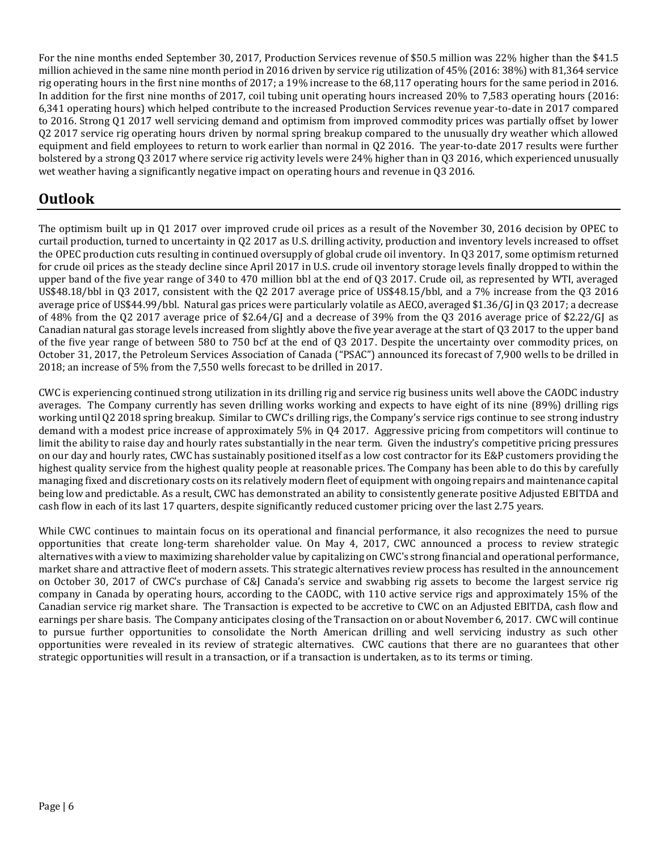For the nine months ended September 30, 2017, Production Services revenue of \$50.5 million was 22% higher than the \$41.5 million achieved in the same nine month period in 2016 driven by service rig utilization of 45% (2016: 38%) with 81,364 service rig operating hours in the first nine months of 2017; a 19% increase to the 68,117 operating hours for the same period in 2016. In addition for the first nine months of 2017, coil tubing unit operating hours increased 20% to 7,583 operating hours (2016: 6,341 operating hours) which helped contribute to the increased Production Services revenue year-to-date in 2017 compared to 2016. Strong Q1 2017 well servicing demand and optimism from improved commodity prices was partially offset by lower Q2 2017 service rig operating hours driven by normal spring breakup compared to the unusually dry weather which allowed equipment and field employees to return to work earlier than normal in Q2 2016. The year-to-date 2017 results were further bolstered by a strong Q3 2017 where service rig activity levels were 24% higher than in Q3 2016, which experienced unusually wet weather having a significantly negative impact on operating hours and revenue in Q3 2016.

# **Outlook**

The optimism built up in Q1 2017 over improved crude oil prices as a result of the November 30, 2016 decision by OPEC to curtail production, turned to uncertainty in Q2 2017 as U.S. drilling activity, production and inventory levels increased to offset the OPEC production cuts resulting in continued oversupply of global crude oil inventory. In Q3 2017, some optimism returned for crude oil prices as the steady decline since April 2017 in U.S. crude oil inventory storage levels finally dropped to within the upper band of the five year range of 340 to 470 million bbl at the end of Q3 2017. Crude oil, as represented by WTI, averaged US\$48.18/bbl in Q3 2017, consistent with the Q2 2017 average price of US\$48.15/bbl, and a 7% increase from the Q3 2016 average price of US\$44.99/bbl. Natural gas prices were particularly volatile as AECO, averaged \$1.36/GJ in Q3 2017; a decrease of 48% from the Q2 2017 average price of \$2.64/GJ and a decrease of 39% from the Q3 2016 average price of \$2.22/GJ as Canadian natural gas storage levels increased from slightly above the five year average at the start of Q3 2017 to the upper band of the five year range of between 580 to 750 bcf at the end of Q3 2017. Despite the uncertainty over commodity prices, on October 31, 2017, the Petroleum Services Association of Canada ("PSAC") announced its forecast of 7,900 wells to be drilled in 2018; an increase of 5% from the 7,550 wells forecast to be drilled in 2017.

CWC is experiencing continued strong utilization in its drilling rig and service rig business units well above the CAODC industry averages. The Company currently has seven drilling works working and expects to have eight of its nine (89%) drilling rigs working until Q2 2018 spring breakup. Similar to CWC's drilling rigs, the Company's service rigs continue to see strong industry demand with a modest price increase of approximately 5% in Q4 2017. Aggressive pricing from competitors will continue to limit the ability to raise day and hourly rates substantially in the near term. Given the industry's competitive pricing pressures on our day and hourly rates, CWC has sustainably positioned itself as a low cost contractor for its E&P customers providing the highest quality service from the highest quality people at reasonable prices. The Company has been able to do this by carefully managing fixed and discretionary costs on its relatively modern fleet of equipment with ongoing repairs and maintenance capital being low and predictable. As a result, CWC has demonstrated an ability to consistently generate positive Adjusted EBITDA and cash flow in each of its last 17 quarters, despite significantly reduced customer pricing over the last 2.75 years.

While CWC continues to maintain focus on its operational and financial performance, it also recognizes the need to pursue opportunities that create long-term shareholder value. On May 4, 2017, CWC announced a process to review strategic alternatives with a view to maximizing shareholder value by capitalizing on CWC's strong financial and operational performance, market share and attractive fleet of modern assets. This strategic alternatives review process has resulted in the announcement on October 30, 2017 of CWC's purchase of C&J Canada's service and swabbing rig assets to become the largest service rig company in Canada by operating hours, according to the CAODC, with 110 active service rigs and approximately 15% of the Canadian service rig market share. The Transaction is expected to be accretive to CWC on an Adjusted EBITDA, cash flow and earnings per share basis. The Company anticipates closing of the Transaction on or about November 6, 2017. CWC will continue to pursue further opportunities to consolidate the North American drilling and well servicing industry as such other opportunities were revealed in its review of strategic alternatives. CWC cautions that there are no guarantees that other strategic opportunities will result in a transaction, or if a transaction is undertaken, as to its terms or timing.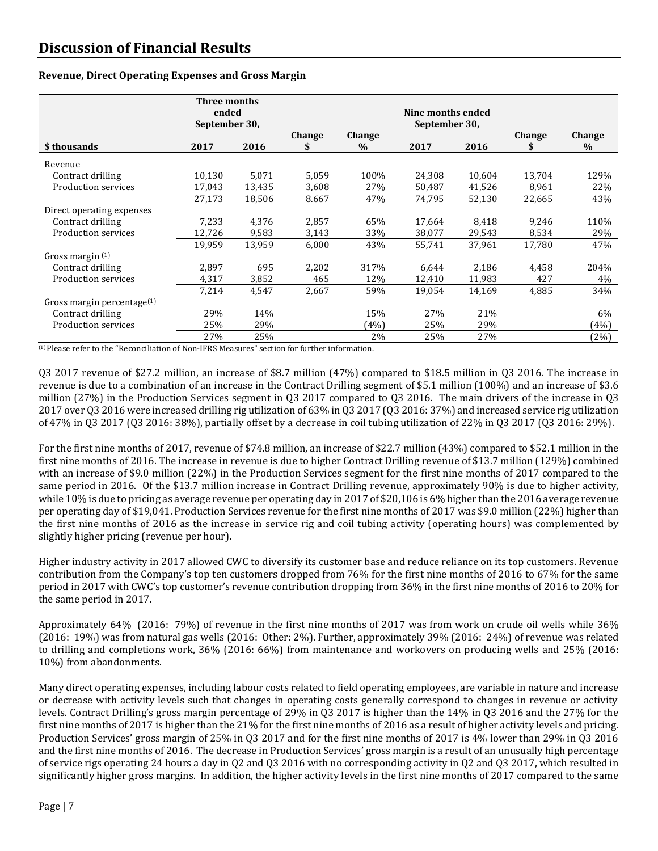|                               | Three months<br>ended<br>September 30, |        |                     |                         | Nine months ended<br>September 30, |        |              |                |
|-------------------------------|----------------------------------------|--------|---------------------|-------------------------|------------------------------------|--------|--------------|----------------|
| \$ thousands                  | 2017                                   | 2016   | <b>Change</b><br>\$ | Change<br>$\frac{0}{0}$ | 2017                               | 2016   | Change<br>\$ | Change<br>$\%$ |
| Revenue                       |                                        |        |                     |                         |                                    |        |              |                |
| Contract drilling             | 10.130                                 | 5.071  | 5.059               | 100%                    | 24,308                             | 10.604 | 13,704       | 129%           |
| Production services           | 17,043                                 | 13,435 | 3,608               | 27%                     | 50,487                             | 41,526 | 8,961        | 22%            |
|                               | 27,173                                 | 18,506 | 8.667               | 47%                     | 74,795                             | 52,130 | 22,665       | 43%            |
| Direct operating expenses     |                                        |        |                     |                         |                                    |        |              |                |
| Contract drilling             | 7,233                                  | 4,376  | 2,857               | 65%                     | 17,664                             | 8,418  | 9,246        | 110%           |
| Production services           | 12,726                                 | 9,583  | 3,143               | 33%                     | 38,077                             | 29,543 | 8,534        | 29%            |
|                               | 19,959                                 | 13,959 | 6,000               | 43%                     | 55,741                             | 37,961 | 17,780       | 47%            |
| Gross margin $(1)$            |                                        |        |                     |                         |                                    |        |              |                |
| Contract drilling             | 2,897                                  | 695    | 2,202               | 317%                    | 6,644                              | 2,186  | 4,458        | 204%           |
| Production services           | 4,317                                  | 3,852  | 465                 | 12%                     | 12,410                             | 11,983 | 427          | 4%             |
|                               | 7,214                                  | 4,547  | 2,667               | 59%                     | 19,054                             | 14,169 | 4,885        | 34%            |
| Gross margin percentage $(1)$ |                                        |        |                     |                         |                                    |        |              |                |
| Contract drilling             | 29%                                    | 14%    |                     | 15%                     | 27%                                | 21%    |              | 6%             |
| Production services           | 25%                                    | 29%    |                     | (4%)                    | 25%                                | 29%    |              | (4%)           |
|                               | 27%                                    | 25%    |                     | 2%                      | 25%                                | 27%    |              | (2%)           |

#### **Revenue, Direct Operating Expenses and Gross Margin**

(1) Please refer to the "Reconciliation of Non-IFRS Measures" section for further information.

Q3 2017 revenue of \$27.2 million, an increase of \$8.7 million (47%) compared to \$18.5 million in Q3 2016. The increase in revenue is due to a combination of an increase in the Contract Drilling segment of \$5.1 million (100%) and an increase of \$3.6 million (27%) in the Production Services segment in Q3 2017 compared to Q3 2016. The main drivers of the increase in Q3 2017 over Q3 2016 were increased drilling rig utilization of 63% in Q3 2017 (Q3 2016: 37%) and increased service rig utilization of 47% in Q3 2017 (Q3 2016: 38%), partially offset by a decrease in coil tubing utilization of 22% in Q3 2017 (Q3 2016: 29%).

For the first nine months of 2017, revenue of \$74.8 million, an increase of \$22.7 million (43%) compared to \$52.1 million in the first nine months of 2016. The increase in revenue is due to higher Contract Drilling revenue of \$13.7 million (129%) combined with an increase of \$9.0 million (22%) in the Production Services segment for the first nine months of 2017 compared to the same period in 2016. Of the \$13.7 million increase in Contract Drilling revenue, approximately 90% is due to higher activity, while 10% is due to pricing as average revenue per operating day in 2017 of \$20,106 is 6% higher than the 2016 average revenue per operating day of \$19,041. Production Services revenue for the first nine months of 2017 was \$9.0 million (22%) higher than the first nine months of 2016 as the increase in service rig and coil tubing activity (operating hours) was complemented by slightly higher pricing (revenue per hour).

Higher industry activity in 2017 allowed CWC to diversify its customer base and reduce reliance on its top customers. Revenue contribution from the Company's top ten customers dropped from 76% for the first nine months of 2016 to 67% for the same period in 2017 with CWC's top customer's revenue contribution dropping from 36% in the first nine months of 2016 to 20% for the same period in 2017.

Approximately 64% (2016: 79%) of revenue in the first nine months of 2017 was from work on crude oil wells while 36% (2016: 19%) was from natural gas wells (2016: Other: 2%). Further, approximately 39% (2016: 24%) of revenue was related to drilling and completions work, 36% (2016: 66%) from maintenance and workovers on producing wells and 25% (2016: 10%) from abandonments.

Many direct operating expenses, including labour costs related to field operating employees, are variable in nature and increase or decrease with activity levels such that changes in operating costs generally correspond to changes in revenue or activity levels. Contract Drilling's gross margin percentage of 29% in Q3 2017 is higher than the 14% in Q3 2016 and the 27% for the first nine months of 2017 is higher than the 21% for the first nine months of 2016 as a result of higher activity levels and pricing. Production Services' gross margin of 25% in Q3 2017 and for the first nine months of 2017 is 4% lower than 29% in Q3 2016 and the first nine months of 2016. The decrease in Production Services' gross margin is a result of an unusually high percentage of service rigs operating 24 hours a day in Q2 and Q3 2016 with no corresponding activity in Q2 and Q3 2017, which resulted in significantly higher gross margins. In addition, the higher activity levels in the first nine months of 2017 compared to the same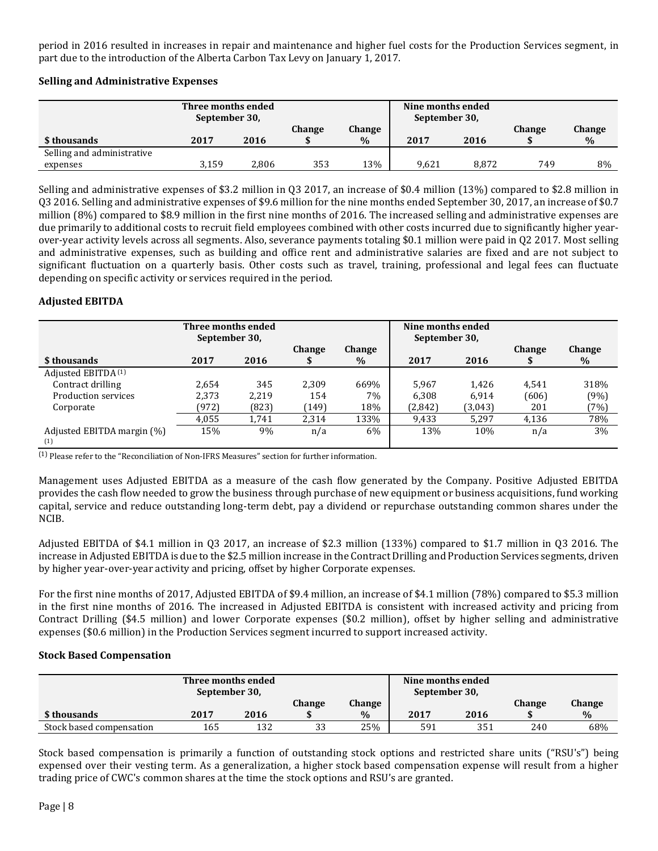period in 2016 resulted in increases in repair and maintenance and higher fuel costs for the Production Services segment, in part due to the introduction of the Alberta Carbon Tax Levy on January 1, 2017.

### **Selling and Administrative Expenses**

|                            | Three months ended<br>September 30, |       |               |                |       | Nine months ended<br>September 30, |               |                |
|----------------------------|-------------------------------------|-------|---------------|----------------|-------|------------------------------------|---------------|----------------|
| \$ thousands               | 2017                                | 2016  | <b>Change</b> | Change<br>$\%$ | 2017  | 2016                               | <b>Change</b> | Change<br>$\%$ |
| Selling and administrative |                                     |       |               |                |       |                                    |               |                |
| expenses                   | 3.159                               | 2.806 | 353           | 13%            | 9.621 | 8.872                              | 749           | 8%             |

Selling and administrative expenses of \$3.2 million in Q3 2017, an increase of \$0.4 million (13%) compared to \$2.8 million in Q3 2016. Selling and administrative expenses of \$9.6 million for the nine months ended September 30, 2017, an increase of \$0.7 million (8%) compared to \$8.9 million in the first nine months of 2016. The increased selling and administrative expenses are due primarily to additional costs to recruit field employees combined with other costs incurred due to significantly higher yearover-year activity levels across all segments. Also, severance payments totaling \$0.1 million were paid in Q2 2017. Most selling and administrative expenses, such as building and office rent and administrative salaries are fixed and are not subject to significant fluctuation on a quarterly basis. Other costs such as travel, training, professional and legal fees can fluctuate depending on specific activity or services required in the period.

#### **Adjusted EBITDA**

|                                   |       |       | Nine months ended<br>September 30, |                |         |         |               |                |
|-----------------------------------|-------|-------|------------------------------------|----------------|---------|---------|---------------|----------------|
| \$ thousands                      | 2017  | 2016  | <b>Change</b>                      | Change<br>$\%$ | 2017    | 2016    | <b>Change</b> | Change<br>$\%$ |
| Adjusted EBITDA <sup>(1)</sup>    |       |       |                                    |                |         |         |               |                |
| Contract drilling                 | 2.654 | 345   | 2.309                              | 669%           | 5.967   | 1,426   | 4.541         | 318%           |
| Production services               | 2,373 | 2.219 | 154                                | 7%             | 6.308   | 6,914   | (606)         | (9%)           |
| Corporate                         | (972) | (823) | (149)                              | 18%            | (2,842) | (3,043) | 201           | (7%)           |
|                                   | 4,055 | 1,741 | 2,314                              | 133%           | 9,433   | 5,297   | 4,136         | 78%            |
| Adjusted EBITDA margin (%)<br>(1) | 15%   | 9%    | n/a                                | 6%             | 13%     | 10%     | n/a           | 3%             |

(1) Please refer to the "Reconciliation of Non-IFRS Measures" section for further information.

Management uses Adjusted EBITDA as a measure of the cash flow generated by the Company. Positive Adjusted EBITDA provides the cash flow needed to grow the business through purchase of new equipment or business acquisitions, fund working capital, service and reduce outstanding long-term debt, pay a dividend or repurchase outstanding common shares under the NCIB.

Adjusted EBITDA of \$4.1 million in Q3 2017, an increase of \$2.3 million (133%) compared to \$1.7 million in Q3 2016. The increase in Adjusted EBITDA is due to the \$2.5 million increase in the Contract Drilling and Production Services segments, driven by higher year-over-year activity and pricing, offset by higher Corporate expenses.

For the first nine months of 2017, Adjusted EBITDA of \$9.4 million, an increase of \$4.1 million (78%) compared to \$5.3 million in the first nine months of 2016. The increased in Adjusted EBITDA is consistent with increased activity and pricing from Contract Drilling (\$4.5 million) and lower Corporate expenses (\$0.2 million), offset by higher selling and administrative expenses (\$0.6 million) in the Production Services segment incurred to support increased activity.

#### **Stock Based Compensation**

| Three months ended<br>September 30, |      |      |        |                | Nine months ended<br>September 30, |      |        |                |
|-------------------------------------|------|------|--------|----------------|------------------------------------|------|--------|----------------|
| \$ thousands                        | 2017 | 2016 | Change | Change<br>$\%$ | 2017                               | 2016 | Change | Change<br>$\%$ |
| Stock based compensation            | 165  | 132  | 33     | 25%            | 591                                | 351  | 240    | 68%            |

Stock based compensation is primarily a function of outstanding stock options and restricted share units ("RSU's") being expensed over their vesting term. As a generalization, a higher stock based compensation expense will result from a higher trading price of CWC's common shares at the time the stock options and RSU's are granted.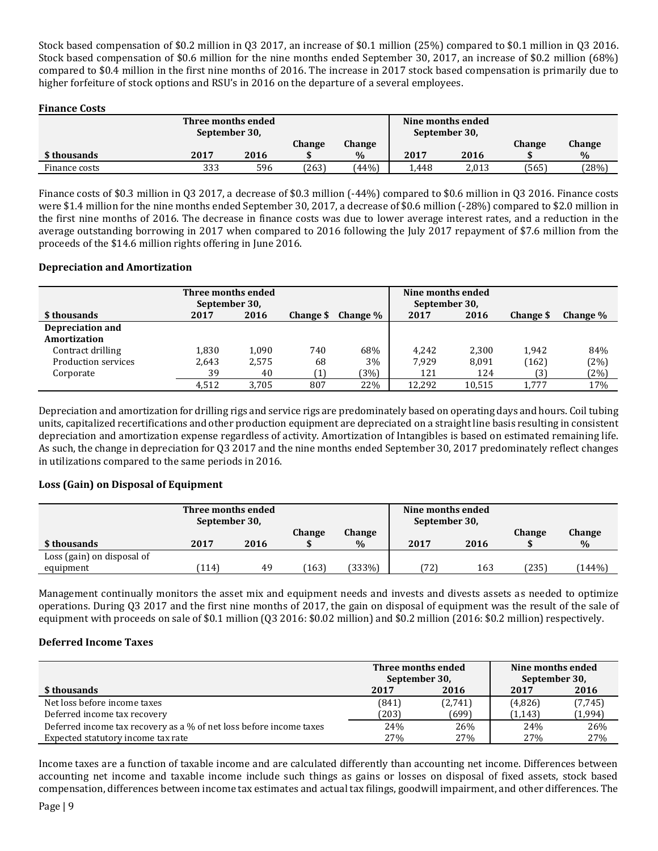Stock based compensation of \$0.2 million in Q3 2017, an increase of \$0.1 million (25%) compared to \$0.1 million in Q3 2016. Stock based compensation of \$0.6 million for the nine months ended September 30, 2017, an increase of \$0.2 million (68%) compared to \$0.4 million in the first nine months of 2016. The increase in 2017 stock based compensation is primarily due to higher forfeiture of stock options and RSU's in 2016 on the departure of a several employees.

#### **Finance Costs**

|               | Three months ended<br>September 30, |      |        |        |       | Nine months ended<br>September 30, |        |                 |
|---------------|-------------------------------------|------|--------|--------|-------|------------------------------------|--------|-----------------|
|               |                                     |      | Change | Change |       |                                    | Change | Change          |
| \$ thousands  | 2017                                | 2016 |        | $\%$   | 2017  | 2016                               |        | $\%$            |
| Finance costs | 333                                 | 596  | (263)  | (44%)  | 448.، | 2.013                              | (565)  | $^{\prime}28\%$ |

Finance costs of \$0.3 million in Q3 2017, a decrease of \$0.3 million (-44%) compared to \$0.6 million in Q3 2016. Finance costs were \$1.4 million for the nine months ended September 30, 2017, a decrease of \$0.6 million (-28%) compared to \$2.0 million in the first nine months of 2016. The decrease in finance costs was due to lower average interest rates, and a reduction in the average outstanding borrowing in 2017 when compared to 2016 following the July 2017 repayment of \$7.6 million from the proceeds of the \$14.6 million rights offering in June 2016.

#### **Depreciation and Amortization**

| Three months ended<br>September 30, |       |       |                 |          | Nine months ended<br>September 30, |        |                  |          |
|-------------------------------------|-------|-------|-----------------|----------|------------------------------------|--------|------------------|----------|
| \$ thousands                        | 2017  | 2016  | <b>Change S</b> | Change % | 2017                               | 2016   | <b>Change</b> \$ | Change % |
| <b>Depreciation and</b>             |       |       |                 |          |                                    |        |                  |          |
| Amortization                        |       |       |                 |          |                                    |        |                  |          |
| Contract drilling                   | 1,830 | 1.090 | 740             | 68%      | 4.242                              | 2,300  | 1.942            | 84%      |
| Production services                 | 2,643 | 2.575 | 68              | 3%       | 7.929                              | 8,091  | (162)            | (2%)     |
| Corporate                           | 39    | 40    | 11              | (3%)     | 121                                | 124    | (3)              | (2%)     |
|                                     | 4.512 | 3.705 | 807             | 22%      | 12.292                             | 10,515 | 1.777            | 17%      |

Depreciation and amortization for drilling rigs and service rigs are predominately based on operating days and hours. Coil tubing units, capitalized recertifications and other production equipment are depreciated on a straight line basis resulting in consistent depreciation and amortization expense regardless of activity. Amortization of Intangibles is based on estimated remaining life. As such, the change in depreciation for Q3 2017 and the nine months ended September 30, 2017 predominately reflect changes in utilizations compared to the same periods in 2016.

### **Loss (Gain) on Disposal of Equipment**

| Three months ended<br>September 30,     |       |      |               |                | Nine months ended<br>September 30, |      |        |                       |
|-----------------------------------------|-------|------|---------------|----------------|------------------------------------|------|--------|-----------------------|
| \$ thousands                            | 2017  | 2016 | <b>Change</b> | Change<br>$\%$ | 2017                               | 2016 | Change | <b>Change</b><br>$\%$ |
| Loss (gain) on disposal of<br>equipment | (114) | 49   | (163)         | (333%)         | 72)                                | 163  | (235)  | $144\%$               |

Management continually monitors the asset mix and equipment needs and invests and divests assets as needed to optimize operations. During Q3 2017 and the first nine months of 2017, the gain on disposal of equipment was the result of the sale of equipment with proceeds on sale of \$0.1 million (Q3 2016: \$0.02 million) and \$0.2 million (2016: \$0.2 million) respectively.

#### **Deferred Income Taxes**

|                                                                     | Three months ended<br>September 30, |         | Nine months ended<br>September 30, |         |  |
|---------------------------------------------------------------------|-------------------------------------|---------|------------------------------------|---------|--|
| \$ thousands                                                        | 2017                                | 2016    | 2017                               | 2016    |  |
| Net loss before income taxes                                        | (841)                               | (2,741) | (4,826)                            | (7,745) |  |
| Deferred income tax recovery                                        | (203)                               | (699)   | (1, 143)                           | (1,994) |  |
| Deferred income tax recovery as a % of net loss before income taxes | 24%                                 | 26%     | 24%                                | 26%     |  |
| Expected statutory income tax rate                                  | 27%                                 | 27%     | 27%                                | 27%     |  |

Income taxes are a function of taxable income and are calculated differently than accounting net income. Differences between accounting net income and taxable income include such things as gains or losses on disposal of fixed assets, stock based compensation, differences between income tax estimates and actual tax filings, goodwill impairment, and other differences. The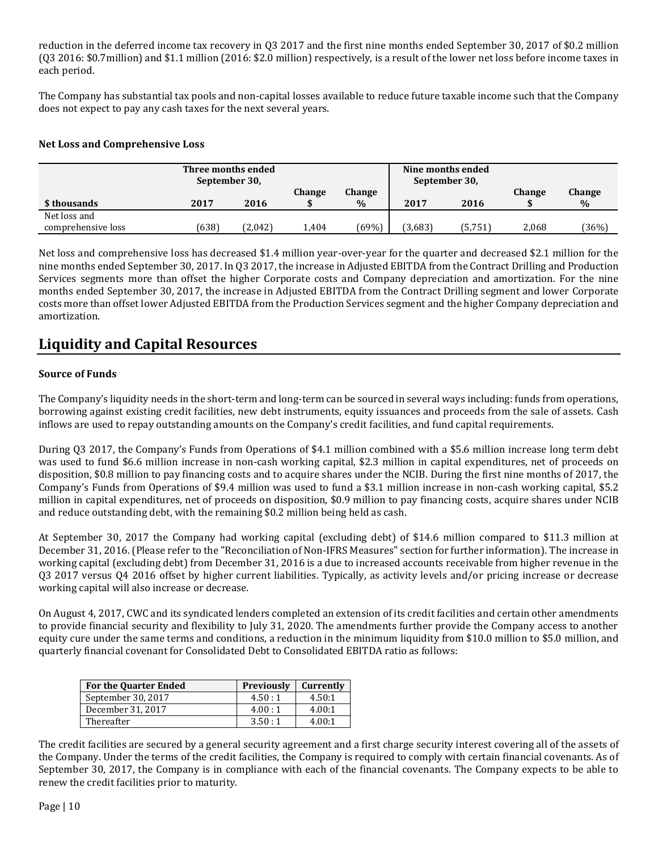reduction in the deferred income tax recovery in Q3 2017 and the first nine months ended September 30, 2017 of \$0.2 million (Q3 2016: \$0.7million) and \$1.1 million (2016: \$2.0 million) respectively, is a result of the lower net loss before income taxes in each period.

The Company has substantial tax pools and non-capital losses available to reduce future taxable income such that the Company does not expect to pay any cash taxes for the next several years.

### **Net Loss and Comprehensive Loss**

| Three months ended<br>September 30, |       |         |               |        | Nine months ended<br>September 30, |         |        |        |
|-------------------------------------|-------|---------|---------------|--------|------------------------------------|---------|--------|--------|
|                                     |       |         | <b>Change</b> | Change |                                    |         | Change | Change |
| \$ thousands                        | 2017  | 2016    |               | $\%$   | 2017                               | 2016    |        | $\%$   |
| Net loss and                        |       |         |               |        |                                    |         |        |        |
| comprehensive loss                  | (638) | (2,042) | .404          | (69%)  | (3,683)                            | (5,751) | 2,068  | (36%)  |

Net loss and comprehensive loss has decreased \$1.4 million year-over-year for the quarter and decreased \$2.1 million for the nine months ended September 30, 2017. In Q3 2017, the increase in Adjusted EBITDA from the Contract Drilling and Production Services segments more than offset the higher Corporate costs and Company depreciation and amortization. For the nine months ended September 30, 2017, the increase in Adjusted EBITDA from the Contract Drilling segment and lower Corporate costs more than offset lower Adjusted EBITDA from the Production Services segment and the higher Company depreciation and amortization.

## **Liquidity and Capital Resources**

### **Source of Funds**

The Company's liquidity needs in the short-term and long-term can be sourced in several ways including: funds from operations, borrowing against existing credit facilities, new debt instruments, equity issuances and proceeds from the sale of assets. Cash inflows are used to repay outstanding amounts on the Company's credit facilities, and fund capital requirements.

During Q3 2017, the Company's Funds from Operations of \$4.1 million combined with a \$5.6 million increase long term debt was used to fund \$6.6 million increase in non-cash working capital, \$2.3 million in capital expenditures, net of proceeds on disposition, \$0.8 million to pay financing costs and to acquire shares under the NCIB. During the first nine months of 2017, the Company's Funds from Operations of \$9.4 million was used to fund a \$3.1 million increase in non-cash working capital, \$5.2 million in capital expenditures, net of proceeds on disposition, \$0.9 million to pay financing costs, acquire shares under NCIB and reduce outstanding debt, with the remaining \$0.2 million being held as cash.

At September 30, 2017 the Company had working capital (excluding debt) of \$14.6 million compared to \$11.3 million at December 31, 2016. (Please refer to the "Reconciliation of Non-IFRS Measures" section for further information). The increase in working capital (excluding debt) from December 31, 2016 is a due to increased accounts receivable from higher revenue in the Q3 2017 versus Q4 2016 offset by higher current liabilities. Typically, as activity levels and/or pricing increase or decrease working capital will also increase or decrease.

On August 4, 2017, CWC and its syndicated lenders completed an extension of its credit facilities and certain other amendments to provide financial security and flexibility to July 31, 2020. The amendments further provide the Company access to another equity cure under the same terms and conditions, a reduction in the minimum liquidity from \$10.0 million to \$5.0 million, and quarterly financial covenant for Consolidated Debt to Consolidated EBITDA ratio as follows:

| <b>For the Quarter Ended</b> | Previously | Currently |
|------------------------------|------------|-----------|
| September 30, 2017           | 4.50:1     | 4.50:1    |
| December 31, 2017            | 4.00:1     | 4.00:1    |
| Thereafter                   | 3.50:1     | 4.00:1    |

The credit facilities are secured by a general security agreement and a first charge security interest covering all of the assets of the Company. Under the terms of the credit facilities, the Company is required to comply with certain financial covenants. As of September 30, 2017, the Company is in compliance with each of the financial covenants. The Company expects to be able to renew the credit facilities prior to maturity.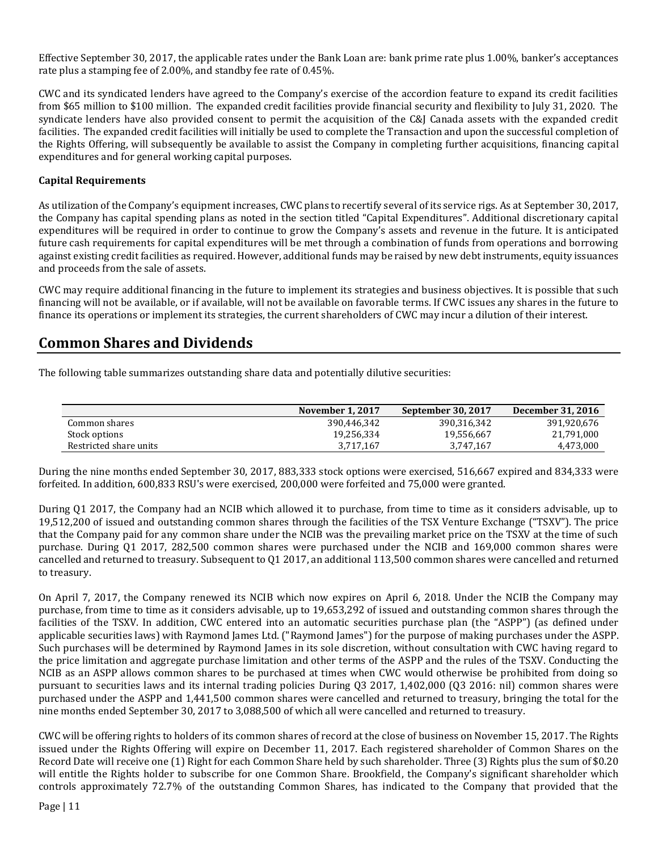Effective September 30, 2017, the applicable rates under the Bank Loan are: bank prime rate plus 1.00%, banker's acceptances rate plus a stamping fee of 2.00%, and standby fee rate of 0.45%.

CWC and its syndicated lenders have agreed to the Company's exercise of the accordion feature to expand its credit facilities from \$65 million to \$100 million. The expanded credit facilities provide financial security and flexibility to July 31, 2020. The syndicate lenders have also provided consent to permit the acquisition of the C&J Canada assets with the expanded credit facilities. The expanded credit facilities will initially be used to complete the Transaction and upon the successful completion of the Rights Offering, will subsequently be available to assist the Company in completing further acquisitions, financing capital expenditures and for general working capital purposes.

### **Capital Requirements**

As utilization of the Company's equipment increases, CWC plans to recertify several of its service rigs. As at September 30, 2017, the Company has capital spending plans as noted in the section titled "Capital Expenditures". Additional discretionary capital expenditures will be required in order to continue to grow the Company's assets and revenue in the future. It is anticipated future cash requirements for capital expenditures will be met through a combination of funds from operations and borrowing against existing credit facilities as required. However, additional funds may be raised by new debt instruments, equity issuances and proceeds from the sale of assets.

CWC may require additional financing in the future to implement its strategies and business objectives. It is possible that such financing will not be available, or if available, will not be available on favorable terms. If CWC issues any shares in the future to finance its operations or implement its strategies, the current shareholders of CWC may incur a dilution of their interest.

### **Common Shares and Dividends**

The following table summarizes outstanding share data and potentially dilutive securities:

|                        | <b>November 1, 2017</b> | September 30, 2017 | <b>December 31, 2016</b> |
|------------------------|-------------------------|--------------------|--------------------------|
| Common shares          | 390.446.342             | 390.316.342        | 391,920,676              |
| Stock options          | 19,256,334              | 19,556,667         | 21,791,000               |
| Restricted share units | 3.717.167               | 3.747.167          | 4,473,000                |

During the nine months ended September 30, 2017, 883,333 stock options were exercised, 516,667 expired and 834,333 were forfeited. In addition, 600,833 RSU's were exercised, 200,000 were forfeited and 75,000 were granted.

During Q1 2017, the Company had an NCIB which allowed it to purchase, from time to time as it considers advisable, up to 19,512,200 of issued and outstanding common shares through the facilities of the TSX Venture Exchange ("TSXV"). The price that the Company paid for any common share under the NCIB was the prevailing market price on the TSXV at the time of such purchase. During Q1 2017, 282,500 common shares were purchased under the NCIB and 169,000 common shares were cancelled and returned to treasury. Subsequent to Q1 2017, an additional 113,500 common shares were cancelled and returned to treasury.

On April 7, 2017, the Company renewed its NCIB which now expires on April 6, 2018. Under the NCIB the Company may purchase, from time to time as it considers advisable, up to 19,653,292 of issued and outstanding common shares through the facilities of the TSXV. In addition, CWC entered into an automatic securities purchase plan (the "ASPP") (as defined under applicable securities laws) with Raymond James Ltd. ("Raymond James") for the purpose of making purchases under the ASPP. Such purchases will be determined by Raymond James in its sole discretion, without consultation with CWC having regard to the price limitation and aggregate purchase limitation and other terms of the ASPP and the rules of the TSXV. Conducting the NCIB as an ASPP allows common shares to be purchased at times when CWC would otherwise be prohibited from doing so pursuant to securities laws and its internal trading policies During Q3 2017, 1,402,000 (Q3 2016: nil) common shares were purchased under the ASPP and 1,441,500 common shares were cancelled and returned to treasury, bringing the total for the nine months ended September 30, 2017 to 3,088,500 of which all were cancelled and returned to treasury.

CWC will be offering rights to holders of its common shares of record at the close of business on November 15, 2017. The Rights issued under the Rights Offering will expire on December 11, 2017. Each registered shareholder of Common Shares on the Record Date will receive one (1) Right for each Common Share held by such shareholder. Three (3) Rights plus the sum of \$0.20 will entitle the Rights holder to subscribe for one Common Share. Brookfield, the Company's significant shareholder which controls approximately 72.7% of the outstanding Common Shares, has indicated to the Company that provided that the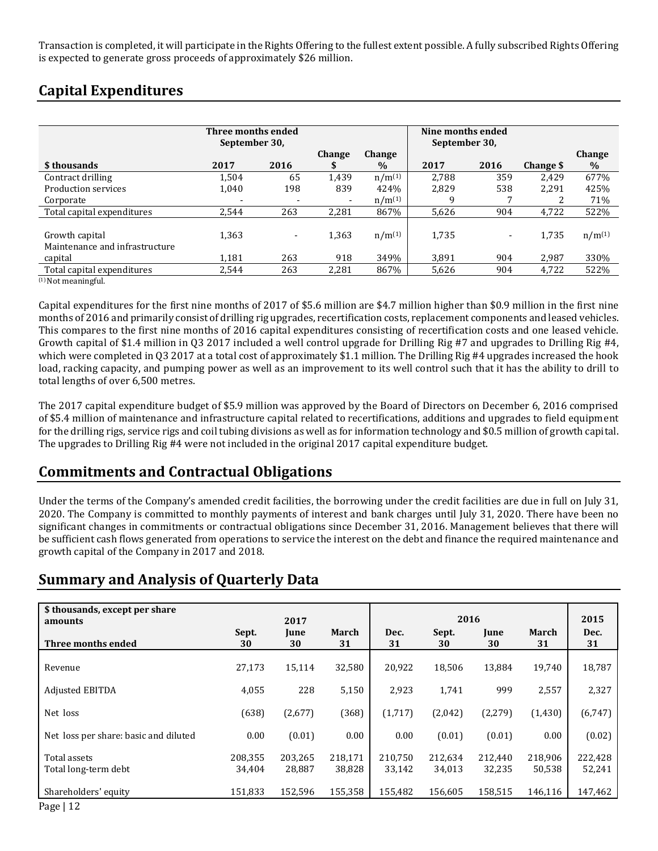Transaction is completed, it will participate in the Rights Offering to the fullest extent possible. A fully subscribed Rights Offering is expected to generate gross proceeds of approximately \$26 million.

# **Capital Expenditures**

| Three months ended<br>September 30, |                |               |               |       |                          |                                            |             |
|-------------------------------------|----------------|---------------|---------------|-------|--------------------------|--------------------------------------------|-------------|
|                                     |                | <b>Change</b> | <b>Change</b> |       |                          |                                            | Change      |
|                                     |                |               |               |       |                          |                                            | $\%$        |
| 1.504                               | 65             | 1.439         | $n/m^{(1)}$   | 2.788 | 359                      | 2.429                                      | 677%        |
| 1,040                               | 198            | 839           | 424%          | 2,829 | 538                      | 2.291                                      | 425%        |
|                                     |                |               | $n/m^{(1)}$   | q     |                          |                                            | 71%         |
| 2.544                               | 263            | 2,281         | 867%          | 5,626 | 904                      | 4,722                                      | 522%        |
| 1,363                               | $\blacksquare$ | 1,363         | $n/m^{(1)}$   | 1,735 | $\overline{\phantom{a}}$ | 1,735                                      | $n/m^{(1)}$ |
| 1,181                               | 263            | 918           | 349%          | 3,891 | 904                      | 2,987                                      | 330%        |
| 2.544                               | 263            | 2,281         | 867%          | 5,626 | 904                      | 4,722                                      | 522%        |
|                                     | 2017           | 2016          |               | $\%$  | 2017                     | Nine months ended<br>September 30,<br>2016 | Change \$   |

(1) Not meaningful.

Capital expenditures for the first nine months of 2017 of \$5.6 million are \$4.7 million higher than \$0.9 million in the first nine months of 2016 and primarily consist of drilling rig upgrades, recertification costs, replacement components and leased vehicles. This compares to the first nine months of 2016 capital expenditures consisting of recertification costs and one leased vehicle. Growth capital of \$1.4 million in Q3 2017 included a well control upgrade for Drilling Rig #7 and upgrades to Drilling Rig #4, which were completed in Q3 2017 at a total cost of approximately \$1.1 million. The Drilling Rig #4 upgrades increased the hook load, racking capacity, and pumping power as well as an improvement to its well control such that it has the ability to drill to total lengths of over 6,500 metres.

The 2017 capital expenditure budget of \$5.9 million was approved by the Board of Directors on December 6, 2016 comprised of \$5.4 million of maintenance and infrastructure capital related to recertifications, additions and upgrades to field equipment for the drilling rigs, service rigs and coil tubing divisions as well as for information technology and \$0.5 million of growth capital. The upgrades to Drilling Rig #4 were not included in the original 2017 capital expenditure budget.

# **Commitments and Contractual Obligations**

Under the terms of the Company's amended credit facilities, the borrowing under the credit facilities are due in full on July 31, 2020. The Company is committed to monthly payments of interest and bank charges until July 31, 2020. There have been no significant changes in commitments or contractual obligations since December 31, 2016. Management believes that there will be sufficient cash flows generated from operations to service the interest on the debt and finance the required maintenance and growth capital of the Company in 2017 and 2018.

# **Summary and Analysis of Quarterly Data**

| \$ thousands, except per share<br>amounts |                   | 2017              |                   |                   | 2016              |                   |                   | 2015              |
|-------------------------------------------|-------------------|-------------------|-------------------|-------------------|-------------------|-------------------|-------------------|-------------------|
| Three months ended                        | Sept.<br>30       | June<br>30        | March<br>31       | Dec.<br>31        | Sept.<br>30       | June<br>30        | March<br>31       | Dec.<br>31        |
| Revenue                                   | 27,173            | 15,114            | 32,580            | 20,922            | 18,506            | 13,884            | 19,740            | 18,787            |
| <b>Adjusted EBITDA</b>                    | 4,055             | 228               | 5,150             | 2,923             | 1,741             | 999               | 2,557             | 2,327             |
| Net loss                                  | (638)             | (2,677)           | (368)             | (1,717)           | (2,042)           | (2, 279)          | (1, 430)          | (6, 747)          |
| Net loss per share: basic and diluted     | 0.00              | (0.01)            | 0.00              | 0.00              | (0.01)            | (0.01)            | 0.00              | (0.02)            |
| Total assets<br>Total long-term debt      | 208,355<br>34,404 | 203,265<br>28,887 | 218,171<br>38,828 | 210,750<br>33,142 | 212,634<br>34,013 | 212,440<br>32,235 | 218,906<br>50,538 | 222,428<br>52,241 |
| Shareholders' equity<br>$n \times 140$    | 151,833           | 152,596           | 155,358           | 155,482           | 156,605           | 158.515           | 146,116           | 147,462           |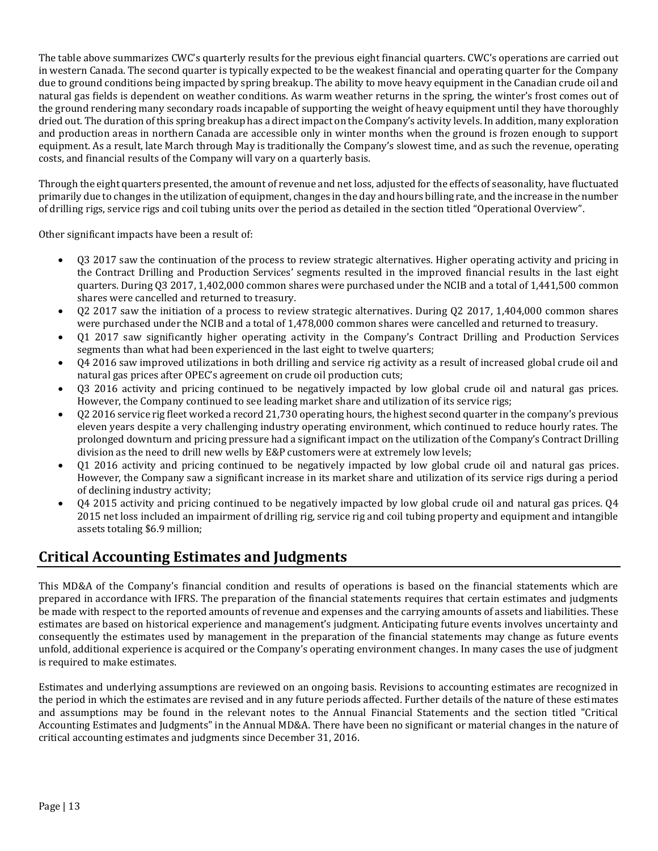The table above summarizes CWC's quarterly results for the previous eight financial quarters. CWC's operations are carried out in western Canada. The second quarter is typically expected to be the weakest financial and operating quarter for the Company due to ground conditions being impacted by spring breakup. The ability to move heavy equipment in the Canadian crude oil and natural gas fields is dependent on weather conditions. As warm weather returns in the spring, the winter's frost comes out of the ground rendering many secondary roads incapable of supporting the weight of heavy equipment until they have thoroughly dried out. The duration of this spring breakup has a direct impact on the Company's activity levels. In addition, many exploration and production areas in northern Canada are accessible only in winter months when the ground is frozen enough to support equipment. As a result, late March through May is traditionally the Company's slowest time, and as such the revenue, operating costs, and financial results of the Company will vary on a quarterly basis.

Through the eight quarters presented, the amount of revenue and net loss, adjusted for the effects of seasonality, have fluctuated primarily due to changes in the utilization of equipment, changes in the day and hours billing rate, and the increase in the number of drilling rigs, service rigs and coil tubing units over the period as detailed in the section titled "Operational Overview".

Other significant impacts have been a result of:

- Q3 2017 saw the continuation of the process to review strategic alternatives. Higher operating activity and pricing in the Contract Drilling and Production Services' segments resulted in the improved financial results in the last eight quarters. During Q3 2017, 1,402,000 common shares were purchased under the NCIB and a total of 1,441,500 common shares were cancelled and returned to treasury.
- Q2 2017 saw the initiation of a process to review strategic alternatives. During Q2 2017, 1,404,000 common shares were purchased under the NCIB and a total of 1,478,000 common shares were cancelled and returned to treasury.
- Q1 2017 saw significantly higher operating activity in the Company's Contract Drilling and Production Services segments than what had been experienced in the last eight to twelve quarters;
- Q4 2016 saw improved utilizations in both drilling and service rig activity as a result of increased global crude oil and natural gas prices after OPEC's agreement on crude oil production cuts;
- Q3 2016 activity and pricing continued to be negatively impacted by low global crude oil and natural gas prices. However, the Company continued to see leading market share and utilization of its service rigs;
- Q2 2016 service rig fleet worked a record 21,730 operating hours, the highest second quarter in the company's previous eleven years despite a very challenging industry operating environment, which continued to reduce hourly rates. The prolonged downturn and pricing pressure had a significant impact on the utilization of the Company's Contract Drilling division as the need to drill new wells by E&P customers were at extremely low levels;
- Q1 2016 activity and pricing continued to be negatively impacted by low global crude oil and natural gas prices. However, the Company saw a significant increase in its market share and utilization of its service rigs during a period of declining industry activity;
- Q4 2015 activity and pricing continued to be negatively impacted by low global crude oil and natural gas prices. Q4 2015 net loss included an impairment of drilling rig, service rig and coil tubing property and equipment and intangible assets totaling \$6.9 million;

# **Critical Accounting Estimates and Judgments**

This MD&A of the Company's financial condition and results of operations is based on the financial statements which are prepared in accordance with IFRS. The preparation of the financial statements requires that certain estimates and judgments be made with respect to the reported amounts of revenue and expenses and the carrying amounts of assets and liabilities. These estimates are based on historical experience and management's judgment. Anticipating future events involves uncertainty and consequently the estimates used by management in the preparation of the financial statements may change as future events unfold, additional experience is acquired or the Company's operating environment changes. In many cases the use of judgment is required to make estimates.

Estimates and underlying assumptions are reviewed on an ongoing basis. Revisions to accounting estimates are recognized in the period in which the estimates are revised and in any future periods affected. Further details of the nature of these estimates and assumptions may be found in the relevant notes to the Annual Financial Statements and the section titled "Critical Accounting Estimates and Judgments" in the Annual MD&A. There have been no significant or material changes in the nature of critical accounting estimates and judgments since December 31, 2016.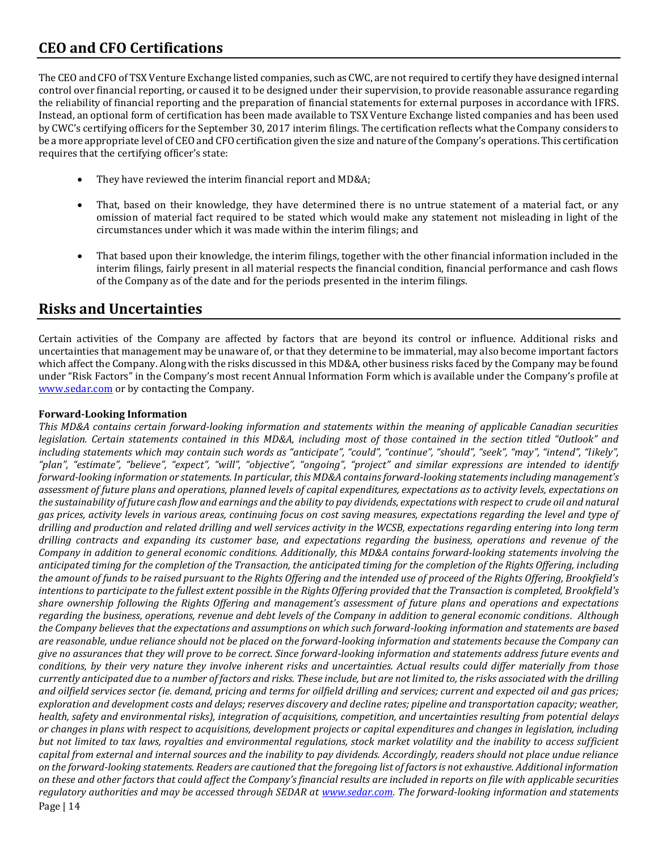# **CEO and CFO Certifications**

The CEO and CFO of TSX Venture Exchange listed companies, such as CWC, are not required to certify they have designed internal control over financial reporting, or caused it to be designed under their supervision, to provide reasonable assurance regarding the reliability of financial reporting and the preparation of financial statements for external purposes in accordance with IFRS. Instead, an optional form of certification has been made available to TSX Venture Exchange listed companies and has been used by CWC's certifying officers for the September 30, 2017 interim filings. The certification reflects what the Company considers to be a more appropriate level of CEO and CFO certification given the size and nature of the Company's operations. This certification requires that the certifying officer's state:

- They have reviewed the interim financial report and MD&A;
- That, based on their knowledge, they have determined there is no untrue statement of a material fact, or any omission of material fact required to be stated which would make any statement not misleading in light of the circumstances under which it was made within the interim filings; and
- That based upon their knowledge, the interim filings, together with the other financial information included in the interim filings, fairly present in all material respects the financial condition, financial performance and cash flows of the Company as of the date and for the periods presented in the interim filings.

## **Risks and Uncertainties**

Certain activities of the Company are affected by factors that are beyond its control or influence. Additional risks and uncertainties that management may be unaware of, or that they determine to be immaterial, may also become important factors which affect the Company. Along with the risks discussed in this MD&A, other business risks faced by the Company may be found under "Risk Factors" in the Company's most recent Annual Information Form which is available under the Company's profile at [www.sedar.com](http://www.sedar.com/) or by contacting the Company.

### **Forward-Looking Information**

*This MD&A contains certain forward-looking information and statements within the meaning of applicable Canadian securities*  legislation. Certain statements contained in this MD&A, including most of those contained in the section titled "Outlook" and *including statements which may contain such words as "anticipate", "could", "continue", "should", "seek", "may", "intend", "likely", "plan", "estimate", "believe", "expect", "will", "objective", "ongoing", "project" and similar expressions are intended to identify forward-looking information or statements. In particular, this MD&A contains forward-looking statements including management's assessment of future plans and operations, planned levels of capital expenditures, expectations as to activity levels, expectations on the sustainability of future cash flow and earnings and the ability to pay dividends, expectations with respect to crude oil and natural gas prices, activity levels in various areas, continuing focus on cost saving measures, expectations regarding the level and type of drilling and production and related drilling and well services activity in the WCSB, expectations regarding entering into long term drilling contracts and expanding its customer base, and expectations regarding the business, operations and revenue of the Company in addition to general economic conditions. Additionally, this MD&A contains forward-looking statements involving the anticipated timing for the completion of the Transaction, the anticipated timing for the completion of the Rights Offering, including the amount of funds to be raised pursuant to the Rights Offering and the intended use of proceed of the Rights Offering, Brookfield's intentions to participate to the fullest extent possible in the Rights Offering provided that the Transaction is completed, Brookfield's share ownership following the Rights Offering and management's assessment of future plans and operations and expectations regarding the business, operations, revenue and debt levels of the Company in addition to general economic conditions. Although the Company believes that the expectations and assumptions on which such forward-looking information and statements are based are reasonable, undue reliance should not be placed on the forward-looking information and statements because the Company can give no assurances that they will prove to be correct. Since forward-looking information and statements address future events and conditions, by their very nature they involve inherent risks and uncertainties. Actual results could differ materially from those currently anticipated due to a number of factors and risks. These include, but are not limited to, the risks associated with the drilling and oilfield services sector (ie. demand, pricing and terms for oilfield drilling and services; current and expected oil and gas prices; exploration and development costs and delays; reserves discovery and decline rates; pipeline and transportation capacity; weather, health, safety and environmental risks), integration of acquisitions, competition, and uncertainties resulting from potential delays or changes in plans with respect to acquisitions, development projects or capital expenditures and changes in legislation, including but not limited to tax laws, royalties and environmental regulations, stock market volatility and the inability to access sufficient capital from external and internal sources and the inability to pay dividends. Accordingly, readers should not place undue reliance on the forward-looking statements. Readers are cautioned that the foregoing list of factors is not exhaustive. Additional information on these and other factors that could affect the Company's financial results are included in reports on file with applicable securities regulatory authorities and may be accessed through SEDAR at [www.sedar.com.](http://www.sedar.com/) The forward-looking information and statements*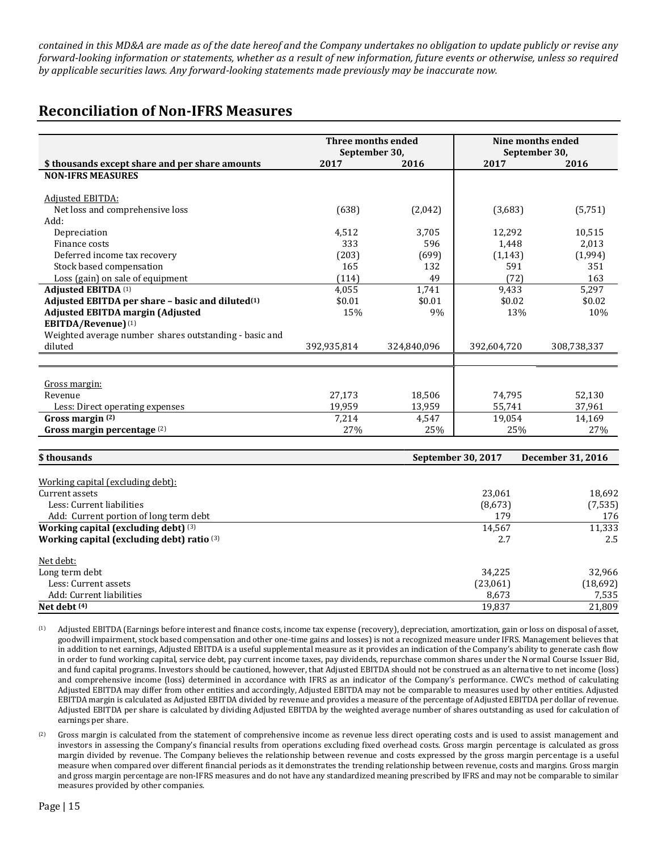*contained in this MD&A are made as of the date hereof and the Company undertakes no obligation to update publicly or revise any forward-looking information or statements, whether as a result of new information, future events or otherwise, unless so required by applicable securities laws. Any forward-looking statements made previously may be inaccurate now.*

## **Reconciliation of Non-IFRS Measures**

|                                                              | Three months ended    |             |                    | Nine months ended        |
|--------------------------------------------------------------|-----------------------|-------------|--------------------|--------------------------|
| \$ thousands except share and per share amounts              | September 30,<br>2017 | 2016        | 2017               | September 30,<br>2016    |
| <b>NON-IFRS MEASURES</b>                                     |                       |             |                    |                          |
|                                                              |                       |             |                    |                          |
| <b>Adjusted EBITDA:</b>                                      |                       |             |                    |                          |
| Net loss and comprehensive loss                              | (638)                 | (2,042)     | (3,683)            | (5,751)                  |
| Add:                                                         |                       |             |                    |                          |
| Depreciation                                                 | 4,512                 | 3,705       | 12,292             | 10,515                   |
| Finance costs                                                | 333                   | 596         | 1,448              | 2,013                    |
| Deferred income tax recovery                                 | (203)                 | (699)       | (1, 143)           | (1,994)                  |
| Stock based compensation                                     | 165                   | 132         | 591                | 351                      |
| Loss (gain) on sale of equipment                             | (114)                 | 49          | (72)               | 163                      |
| <b>Adjusted EBITDA (1)</b>                                   | 4,055                 | 1,741       | 9,433              | 5,297                    |
| Adjusted EBITDA per share - basic and diluted <sup>(1)</sup> | \$0.01                | \$0.01      | \$0.02             | \$0.02                   |
| <b>Adjusted EBITDA margin (Adjusted</b>                      | 15%                   | 9%          |                    | 13%<br>10%               |
| <b>EBITDA/Revenue)</b> (1)                                   |                       |             |                    |                          |
| Weighted average number shares outstanding - basic and       |                       |             |                    |                          |
| diluted                                                      | 392,935,814           | 324,840,096 | 392,604,720        | 308,738,337              |
|                                                              |                       |             |                    |                          |
|                                                              |                       |             |                    |                          |
| Gross margin:                                                |                       |             |                    |                          |
| Revenue                                                      | 27,173                | 18,506      | 74,795             | 52,130                   |
| Less: Direct operating expenses                              | 19,959                | 13,959      | 55,741             | 37,961                   |
| Gross margin (2)                                             | 7,214                 | 4,547       | 19,054             | 14,169                   |
| Gross margin percentage <sup>(2)</sup>                       | 27%                   | 25%         |                    | 25%<br>27%               |
|                                                              |                       |             |                    |                          |
| \$thousands                                                  |                       |             | September 30, 2017 | <b>December 31, 2016</b> |
|                                                              |                       |             |                    |                          |
| Working capital (excluding debt):                            |                       |             |                    |                          |
| Current assets                                               |                       |             | 23,061             | 18,692                   |
| Less: Current liabilities                                    |                       |             | (8,673)            | (7, 535)                 |
| Add: Current portion of long term debt                       |                       |             | 179                | 176                      |
| Working capital (excluding debt) <sup>(3)</sup>              |                       |             | 14,567             | 11,333                   |
| Working capital (excluding debt) ratio (3)                   |                       |             | 2.7                | 2.5                      |
|                                                              |                       |             |                    |                          |

| <u>Net debt:</u>         |          |           |
|--------------------------|----------|-----------|
| Long term debt           | 34,225   | 32,966    |
| Less: Current assets     | (23,061) | (18, 692) |
| Add: Current liabilities | 8.673    | 7,535     |
| Net debt $(4)$           | 19,837   | 21,809    |

(1) Adjusted EBITDA (Earnings before interest and finance costs, income tax expense (recovery), depreciation, amortization, gain or loss on disposal of asset, goodwill impairment, stock based compensation and other one-time gains and losses) is not a recognized measure under IFRS. Management believes that in addition to net earnings, Adjusted EBITDA is a useful supplemental measure as it provides an indication of the Company's ability to generate cash flow in order to fund working capital, service debt, pay current income taxes, pay dividends, repurchase common shares under the Normal Course Issuer Bid, and fund capital programs. Investors should be cautioned, however, that Adjusted EBITDA should not be construed as an alternative to net income (loss) and comprehensive income (loss) determined in accordance with IFRS as an indicator of the Company's performance. CWC's method of calculating Adjusted EBITDA may differ from other entities and accordingly, Adjusted EBITDA may not be comparable to measures used by other entities. Adjusted EBITDA margin is calculated as Adjusted EBITDA divided by revenue and provides a measure of the percentage of Adjusted EBITDA per dollar of revenue. Adjusted EBITDA per share is calculated by dividing Adjusted EBITDA by the weighted average number of shares outstanding as used for calculation of earnings per share.

(2) Gross margin is calculated from the statement of comprehensive income as revenue less direct operating costs and is used to assist management and investors in assessing the Company's financial results from operations excluding fixed overhead costs. Gross margin percentage is calculated as gross margin divided by revenue. The Company believes the relationship between revenue and costs expressed by the gross margin percentage is a useful measure when compared over different financial periods as it demonstrates the trending relationship between revenue, costs and margins. Gross margin and gross margin percentage are non-IFRS measures and do not have any standardized meaning prescribed by IFRS and may not be comparable to similar measures provided by other companies.